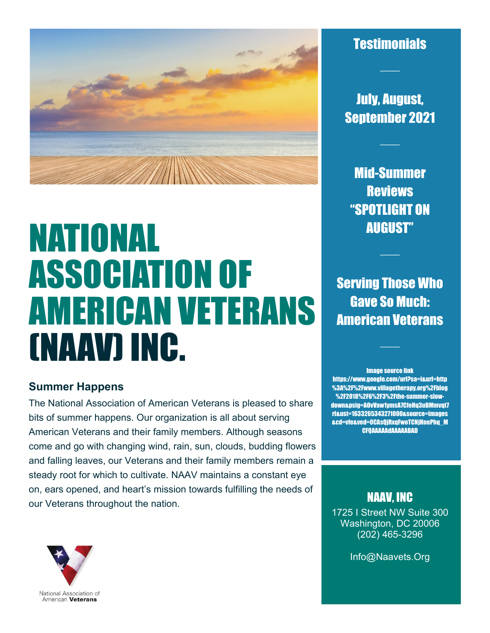

# NATIONAL ASSOCIATION OF AMERICAN VETERANS (NAAV) INC.

## **Summer Happens**

The National Association of American Veterans is pleased to share bits of summer happens. Our organization is all about serving American Veterans and their family members. Although seasons come and go with changing wind, rain, sun, clouds, budding flowers and falling leaves, our Veterans and their family members remain a steady root for which to cultivate. NAAV maintains a constant eye on, ears opened, and heart's mission towards fulfilling the needs of our Veterans throughout the nation.



 $\mathcal{L}$ 

July, August, September 2021

 $\mathcal{L}$ 

Mid-Summer Reviews "SPOTLIGHT ON AUGUST"

 $\mathcal{L}$ 

**Serving Those Who** Gave So Much: American Veterans

 $\mathcal{L}_\text{max}$ 

Image source link https://www.google.com/url?sa=i&url=http %3A%2F%2Fwww.villagetherapy.org%2Fblog %2F2018%2F6%2F3%2Fthe-summer-slowdown&psig=AOvVaw1ymsA7CfeHq3uBMmvqt7 rI&ust=1633265343271000&source=images &cd=vfe&ved=0CAsQjRxqFwoTCNjHnePhq\_M CFQAAAAAdAAAAABAD

# NAAV, INC

1725 I Street NW Suite 300 Washington, DC 20006 (202) 465-3296

Info@Naavets.Org

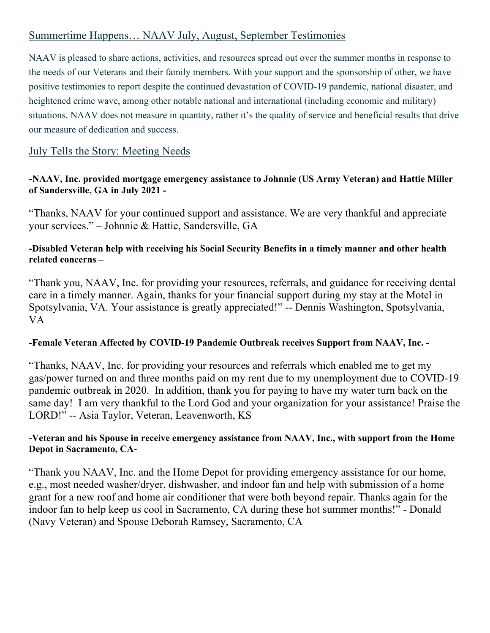# Summertime Happens… NAAV July, August, September Testimonies

NAAV is pleased to share actions, activities, and resources spread out over the summer months in response to the needs of our Veterans and their family members. With your support and the sponsorship of other, we have positive testimonies to report despite the continued devastation of COVID-19 pandemic, national disaster, and heightened crime wave, among other notable national and international (including economic and military) situations. NAAV does not measure in quantity, rather it's the quality of service and beneficial results that drive our measure of dedication and success.

# July Tells the Story: Meeting Needs

#### -**NAAV, Inc. provided mortgage emergency assistance to Johnnie (US Army Veteran) and Hattie Miller of Sandersville, GA in July 2021 -**

"Thanks, NAAV for your continued support and assistance. We are very thankful and appreciate your services." – Johnnie & Hattie, Sandersville, GA

#### **-Disabled Veteran help with receiving his Social Security Benefits in a timely manner and other health related concerns –**

"Thank you, NAAV, Inc. for providing your resources, referrals, and guidance for receiving dental care in a timely manner. Again, thanks for your financial support during my stay at the Motel in Spotsylvania, VA. Your assistance is greatly appreciated!" -- Dennis Washington, Spotsylvania, VA

#### **-Female Veteran Affected by COVID-19 Pandemic Outbreak receives Support from NAAV, Inc. -**

"Thanks, NAAV, Inc. for providing your resources and referrals which enabled me to get my gas/power turned on and three months paid on my rent due to my unemployment due to COVID-19 pandemic outbreak in 2020. In addition, thank you for paying to have my water turn back on the same day! I am very thankful to the Lord God and your organization for your assistance! Praise the LORD!" -- Asia Taylor, Veteran, Leavenworth, KS

#### **-Veteran and his Spouse in receive emergency assistance from NAAV, Inc., with support from the Home Depot in Sacramento, CA-**

"Thank you NAAV, Inc. and the Home Depot for providing emergency assistance for our home, e.g., most needed washer/dryer, dishwasher, and indoor fan and help with submission of a home grant for a new roof and home air conditioner that were both beyond repair. Thanks again for the indoor fan to help keep us cool in Sacramento, CA during these hot summer months!" - Donald (Navy Veteran) and Spouse Deborah Ramsey, Sacramento, CA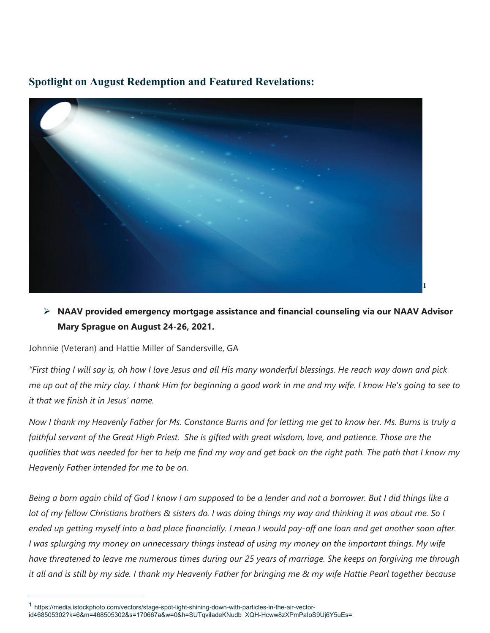# **Spotlight on August Redemption and Featured Revelations:**



# **NAAV provided emergency mortgage assistance and financial counseling via our NAAV Advisor Mary Sprague on August 24-26, 2021.**

Johnnie (Veteran) and Hattie Miller of Sandersville, GA

 $\overline{a}$ 

*"First thing I will say is, oh how I love Jesus and all His many wonderful blessings. He reach way down and pick me up out of the miry clay. I thank Him for beginning a good work in me and my wife. I know He's going to see to it that we finish it in Jesus' name.* 

*Now I thank my Heavenly Father for Ms. Constance Burns and for letting me get to know her. Ms. Burns is truly a faithful servant of the Great High Priest. She is gifted with great wisdom, love, and patience. Those are the qualities that was needed for her to help me find my way and get back on the right path. The path that I know my Heavenly Father intended for me to be on.* 

*Being a born again child of God I know I am supposed to be a lender and not a borrower. But I did things like a lot of my fellow Christians brothers & sisters do. I was doing things my way and thinking it was about me. So I ended up getting myself into a bad place financially. I mean I would pay-off one loan and get another soon after. I was splurging my money on unnecessary things instead of using my money on the important things. My wife have threatened to leave me numerous times during our 25 years of marriage. She keeps on forgiving me through it all and is still by my side. I thank my Heavenly Father for bringing me & my wife Hattie Pearl together because* 

<span id="page-2-0"></span><sup>1</sup> https://media.istockphoto.com/vectors/stage-spot-light-shining-down-with-particles-in-the-air-vectorid468505302?k=6&m=468505302&s=170667a&w=0&h=SUTqviladeKNudb\_XQH-Hcww8zXPmPaIoS9Uj6Y5uEs=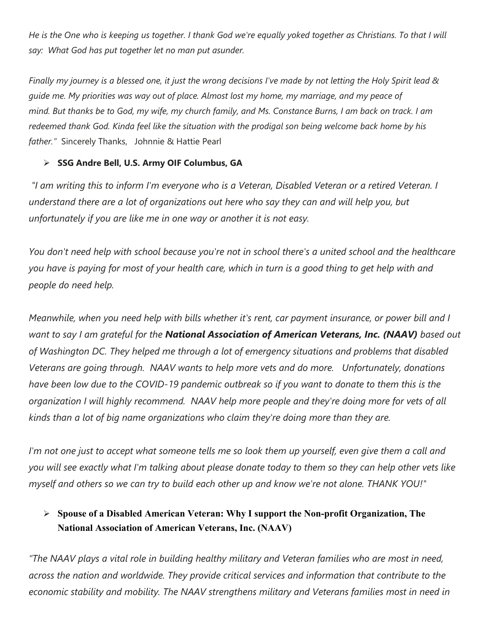*He is the One who is keeping us together. I thank God we're equally yoked together as Christians. To that I will say: What God has put together let no man put asunder.*

*Finally my journey is a blessed one, it just the wrong decisions I've made by not letting the Holy Spirit lead & guide me. My priorities was way out of place. Almost lost my home, my marriage, and my peace of mind. But thanks be to God, my wife, my church family, and Ms. Constance Burns, I am back on track. I am redeemed thank God. Kinda feel like the situation with the prodigal son being welcome back home by his father."* Sincerely Thanks, Johnnie & Hattie Pearl

#### **SSG Andre Bell, U.S. Army OIF Columbus, GA**

 *"I am writing this to inform I'm everyone who is a Veteran, Disabled Veteran or a retired Veteran. I understand there are a lot of organizations out here who say they can and will help you, but unfortunately if you are like me in one way or another it is not easy.*

*You don't need help with school because you're not in school there's a united school and the healthcare you have is paying for most of your health care, which in turn is a good thing to get help with and people do need help.*

*Meanwhile, when you need help with bills whether it's rent, car payment insurance, or power bill and I want to say I am grateful for the National Association of American Veterans, Inc. (NAAV) based out of Washington DC. They helped me through a lot of emergency situations and problems that disabled Veterans are going through. NAAV wants to help more vets and do more. Unfortunately, donations have been low due to the COVID-19 pandemic outbreak so if you want to donate to them this is the organization I will highly recommend. NAAV help more people and they're doing more for vets of all kinds than a lot of big name organizations who claim they're doing more than they are.*

*I'm not one just to accept what someone tells me so look them up yourself, even give them a call and you will see exactly what I'm talking about please donate today to them so they can help other vets like myself and others so we can try to build each other up and know we're not alone. THANK YOU!"*

# **Spouse of a Disabled American Veteran: Why I support the Non-profit Organization, The National Association of American Veterans, Inc. (NAAV)**

*"The NAAV plays a vital role in building healthy military and Veteran families who are most in need, across the nation and worldwide. They provide critical services and information that contribute to the economic stability and mobility. The NAAV strengthens military and Veterans families most in need in*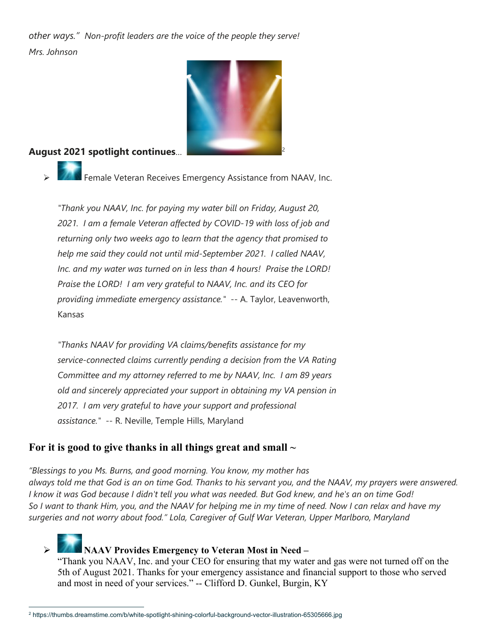*other ways." Non-profit leaders are the voice of the people they serve! Mrs. Johnson*



#### **August 2021 spotlight continues**… [2](#page-4-0)

Female Veteran Receives Emergency Assistance from NAAV, Inc.

*"Thank you NAAV, Inc. for paying my water bill on Friday, August 20, 2021. I am a female Veteran affected by COVID-19 with loss of job and returning only two weeks ago to learn that the agency that promised to help me said they could not until mid-September 2021. I called NAAV, Inc. and my water was turned on in less than 4 hours! Praise the LORD! Praise the LORD! I am very grateful to NAAV, Inc. and its CEO for providing immediate emergency assistance."* -- A. Taylor, Leavenworth, Kansas

*"Thanks NAAV for providing VA claims/benefits assistance for my service-connected claims currently pending a decision from the VA Rating Committee and my attorney referred to me by NAAV, Inc. I am 89 years old and sincerely appreciated your support in obtaining my VA pension in 2017. I am very grateful to have your support and professional assistance."* -- R. Neville, Temple Hills, Maryland

#### **For it is good to give thanks in all things great and small ~**

*"Blessings to you Ms. Burns, and good morning. You know, my mother has always told me that God is an on time God. Thanks to his servant you, and the NAAV, my prayers were answered. I know it was God because I didn't tell you what was needed. But God knew, and he's an on time God! So I want to thank Him, you, and the NAAV for helping me in my time of need. Now I can relax and have my surgeries and not worry about food." Lola, Caregiver of Gulf War Veteran, Upper Marlboro, Maryland*

 **NAAV Provides Emergency to Veteran Most in Need –**  "Thank you NAAV, Inc. and your CEO for ensuring that my water and gas were not turned off on the 5th of August 2021. Thanks for your emergency assistance and financial support to those who served and most in need of your services." -- Clifford D. Gunkel, Burgin, KY

<span id="page-4-0"></span> $\overline{a}$ 2 https://thumbs.dreamstime.com/b/white-spotlight-shining-colorful-background-vector-illustration-65305666.jpg